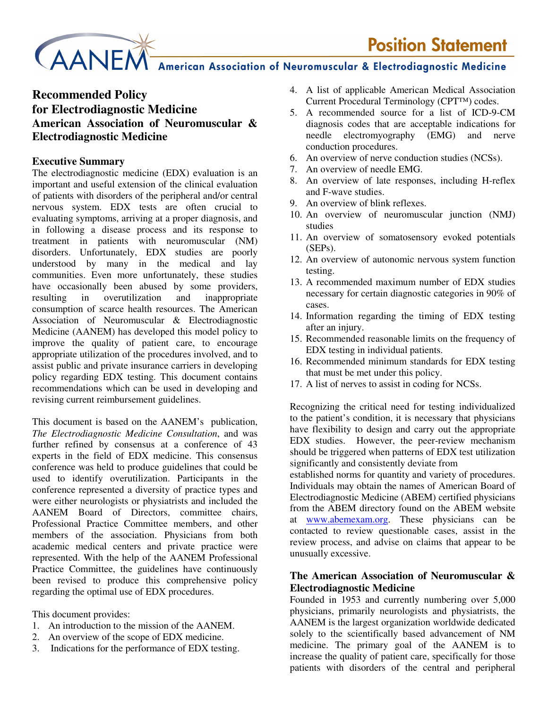# CAANEM American Association of Neuromuscular & Electrodiagnostic Medicine

# **Recommended Policy for Electrodiagnostic Medicine American Association of Neuromuscular & Electrodiagnostic Medicine**

#### **Executive Summary**

The electrodiagnostic medicine (EDX) evaluation is an important and useful extension of the clinical evaluation of patients with disorders of the peripheral and/or central nervous system. EDX tests are often crucial to evaluating symptoms, arriving at a proper diagnosis, and in following a disease process and its response to treatment in patients with neuromuscular (NM) disorders. Unfortunately, EDX studies are poorly understood by many in the medical and lay communities. Even more unfortunately, these studies have occasionally been abused by some providers, resulting in overutilization and inappropriate consumption of scarce health resources. The American Association of Neuromuscular & Electrodiagnostic Medicine (AANEM) has developed this model policy to improve the quality of patient care, to encourage appropriate utilization of the procedures involved, and to assist public and private insurance carriers in developing policy regarding EDX testing. This document contains recommendations which can be used in developing and revising current reimbursement guidelines.

This document is based on the AANEM's publication, *The Electrodiagnostic Medicine Consultation*, and was further refined by consensus at a conference of 43 experts in the field of EDX medicine. This consensus conference was held to produce guidelines that could be used to identify overutilization. Participants in the conference represented a diversity of practice types and were either neurologists or physiatrists and included the AANEM Board of Directors, committee chairs, Professional Practice Committee members, and other members of the association. Physicians from both academic medical centers and private practice were represented. With the help of the AANEM Professional Practice Committee, the guidelines have continuously been revised to produce this comprehensive policy regarding the optimal use of EDX procedures.

This document provides:

- 1. An introduction to the mission of the AANEM.
- 2. An overview of the scope of EDX medicine.
- 3. Indications for the performance of EDX testing.
- 4. A list of applicable American Medical Association Current Procedural Terminology (CPT™) codes.
- 5. A recommended source for a list of ICD-9-CM diagnosis codes that are acceptable indications for needle electromyography (EMG) and nerve conduction procedures.
- 6. An overview of nerve conduction studies (NCSs).
- 7. An overview of needle EMG.
- 8. An overview of late responses, including H-reflex and F-wave studies.
- 9. An overview of blink reflexes.
- 10. An overview of neuromuscular junction (NMJ) studies
- 11. An overview of somatosensory evoked potentials (SEPs).
- 12. An overview of autonomic nervous system function testing.
- 13. A recommended maximum number of EDX studies necessary for certain diagnostic categories in 90% of cases.
- 14. Information regarding the timing of EDX testing after an injury.
- 15. Recommended reasonable limits on the frequency of EDX testing in individual patients.
- 16. Recommended minimum standards for EDX testing that must be met under this policy.
- 17. A list of nerves to assist in coding for NCSs.

Recognizing the critical need for testing individualized to the patient's condition, it is necessary that physicians have flexibility to design and carry out the appropriate EDX studies. However, the peer-review mechanism should be triggered when patterns of EDX test utilization significantly and consistently deviate from

established norms for quantity and variety of procedures. Individuals may obtain the names of American Board of Electrodiagnostic Medicine (ABEM) certified physicians from the ABEM directory found on the ABEM website at www.abemexam.org. These physicians can be contacted to review questionable cases, assist in the review process, and advise on claims that appear to be unusually excessive.

#### **The American Association of Neuromuscular & Electrodiagnostic Medicine**

Founded in 1953 and currently numbering over 5,000 physicians, primarily neurologists and physiatrists, the AANEM is the largest organization worldwide dedicated solely to the scientifically based advancement of NM medicine. The primary goal of the AANEM is to increase the quality of patient care, specifically for those patients with disorders of the central and peripheral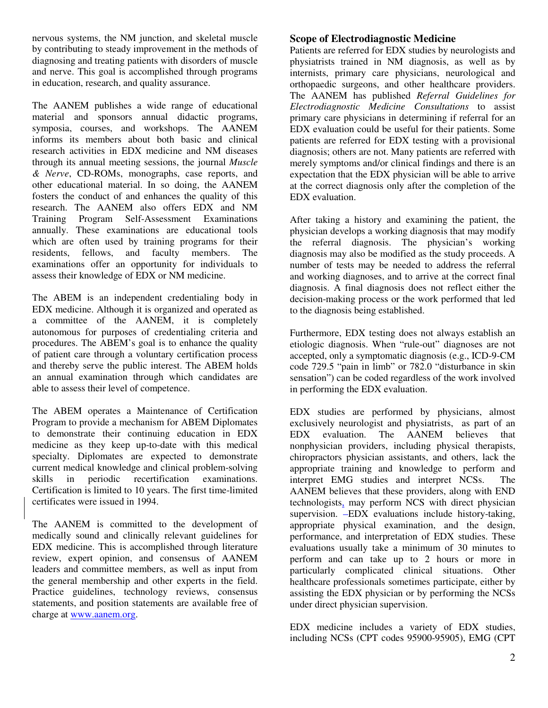nervous systems, the NM junction, and skeletal muscle by contributing to steady improvement in the methods of diagnosing and treating patients with disorders of muscle and nerve. This goal is accomplished through programs in education, research, and quality assurance.

The AANEM publishes a wide range of educational material and sponsors annual didactic programs, symposia, courses, and workshops. The AANEM informs its members about both basic and clinical research activities in EDX medicine and NM diseases through its annual meeting sessions, the journal *Muscle & Nerve*, CD-ROMs, monographs, case reports, and other educational material. In so doing, the AANEM fosters the conduct of and enhances the quality of this research. The AANEM also offers EDX and NM Training Program Self-Assessment Examinations annually. These examinations are educational tools which are often used by training programs for their residents, fellows, and faculty members. The examinations offer an opportunity for individuals to assess their knowledge of EDX or NM medicine.

The ABEM is an independent credentialing body in EDX medicine. Although it is organized and operated as a committee of the AANEM, it is completely autonomous for purposes of credentialing criteria and procedures. The ABEM's goal is to enhance the quality of patient care through a voluntary certification process and thereby serve the public interest. The ABEM holds an annual examination through which candidates are able to assess their level of competence.

The ABEM operates a Maintenance of Certification Program to provide a mechanism for ABEM Diplomates to demonstrate their continuing education in EDX medicine as they keep up-to-date with this medical specialty. Diplomates are expected to demonstrate current medical knowledge and clinical problem-solving skills in periodic recertification examinations. Certification is limited to 10 years. The first time-limited certificates were issued in 1994.

The AANEM is committed to the development of medically sound and clinically relevant guidelines for EDX medicine. This is accomplished through literature review, expert opinion, and consensus of AANEM leaders and committee members, as well as input from the general membership and other experts in the field. Practice guidelines, technology reviews, consensus statements, and position statements are available free of charge at www.aanem.org.

#### **Scope of Electrodiagnostic Medicine**

Patients are referred for EDX studies by neurologists and physiatrists trained in NM diagnosis, as well as by internists, primary care physicians, neurological and orthopaedic surgeons, and other healthcare providers. The AANEM has published *Referral Guidelines for Electrodiagnostic Medicine Consultations* to assist primary care physicians in determining if referral for an EDX evaluation could be useful for their patients. Some patients are referred for EDX testing with a provisional diagnosis; others are not. Many patients are referred with merely symptoms and/or clinical findings and there is an expectation that the EDX physician will be able to arrive at the correct diagnosis only after the completion of the EDX evaluation.

After taking a history and examining the patient, the physician develops a working diagnosis that may modify the referral diagnosis. The physician's working diagnosis may also be modified as the study proceeds. A number of tests may be needed to address the referral and working diagnoses, and to arrive at the correct final diagnosis. A final diagnosis does not reflect either the decision-making process or the work performed that led to the diagnosis being established.

Furthermore, EDX testing does not always establish an etiologic diagnosis. When "rule-out" diagnoses are not accepted, only a symptomatic diagnosis (e.g., ICD-9-CM code 729.5 "pain in limb" or 782.0 "disturbance in skin sensation") can be coded regardless of the work involved in performing the EDX evaluation.

EDX studies are performed by physicians, almost exclusively neurologist and physiatrists, as part of an EDX evaluation. The AANEM believes that nonphysician providers, including physical therapists, chiropractors physician assistants, and others, lack the appropriate training and knowledge to perform and interpret EMG studies and interpret NCSs. The AANEM believes that these providers, along with END technologists, may perform NCS with direct physician supervision. EDX evaluations include history-taking, appropriate physical examination, and the design, performance, and interpretation of EDX studies. These evaluations usually take a minimum of 30 minutes to perform and can take up to 2 hours or more in particularly complicated clinical situations. Other healthcare professionals sometimes participate, either by assisting the EDX physician or by performing the NCSs under direct physician supervision.

EDX medicine includes a variety of EDX studies, including NCSs (CPT codes 95900-95905), EMG (CPT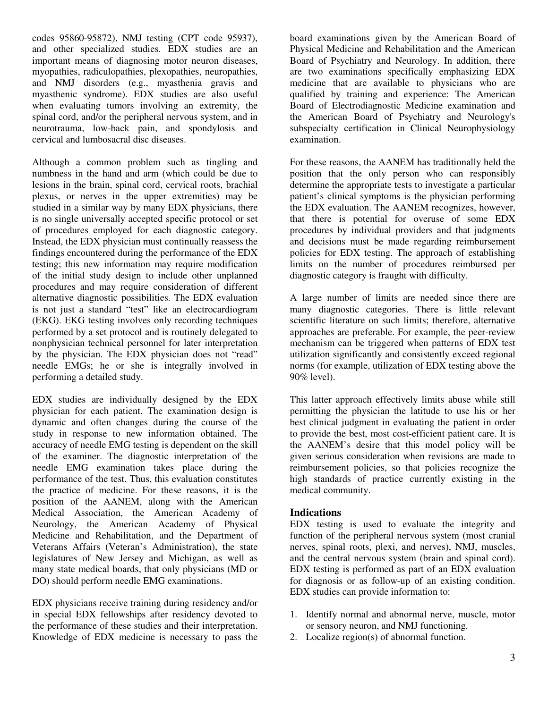codes 95860-95872), NMJ testing (CPT code 95937), and other specialized studies. EDX studies are an important means of diagnosing motor neuron diseases, myopathies, radiculopathies, plexopathies, neuropathies, and NMJ disorders (e.g., myasthenia gravis and myasthenic syndrome). EDX studies are also useful when evaluating tumors involving an extremity, the spinal cord, and/or the peripheral nervous system, and in neurotrauma, low-back pain, and spondylosis and cervical and lumbosacral disc diseases.

Although a common problem such as tingling and numbness in the hand and arm (which could be due to lesions in the brain, spinal cord, cervical roots, brachial plexus, or nerves in the upper extremities) may be studied in a similar way by many EDX physicians, there is no single universally accepted specific protocol or set of procedures employed for each diagnostic category. Instead, the EDX physician must continually reassess the findings encountered during the performance of the EDX testing; this new information may require modification of the initial study design to include other unplanned procedures and may require consideration of different alternative diagnostic possibilities. The EDX evaluation is not just a standard "test" like an electrocardiogram (EKG). EKG testing involves only recording techniques performed by a set protocol and is routinely delegated to nonphysician technical personnel for later interpretation by the physician. The EDX physician does not "read" needle EMGs; he or she is integrally involved in performing a detailed study.

EDX studies are individually designed by the EDX physician for each patient. The examination design is dynamic and often changes during the course of the study in response to new information obtained. The accuracy of needle EMG testing is dependent on the skill of the examiner. The diagnostic interpretation of the needle EMG examination takes place during the performance of the test. Thus, this evaluation constitutes the practice of medicine. For these reasons, it is the position of the AANEM, along with the American Medical Association, the American Academy of Neurology, the American Academy of Physical Medicine and Rehabilitation, and the Department of Veterans Affairs (Veteran's Administration), the state legislatures of New Jersey and Michigan, as well as many state medical boards, that only physicians (MD or DO) should perform needle EMG examinations.

EDX physicians receive training during residency and/or in special EDX fellowships after residency devoted to the performance of these studies and their interpretation. Knowledge of EDX medicine is necessary to pass the

board examinations given by the American Board of Physical Medicine and Rehabilitation and the American Board of Psychiatry and Neurology. In addition, there are two examinations specifically emphasizing EDX medicine that are available to physicians who are qualified by training and experience: The American Board of Electrodiagnostic Medicine examination and the American Board of Psychiatry and Neurology's subspecialty certification in Clinical Neurophysiology examination.

For these reasons, the AANEM has traditionally held the position that the only person who can responsibly determine the appropriate tests to investigate a particular patient's clinical symptoms is the physician performing the EDX evaluation. The AANEM recognizes, however, that there is potential for overuse of some EDX procedures by individual providers and that judgments and decisions must be made regarding reimbursement policies for EDX testing. The approach of establishing limits on the number of procedures reimbursed per diagnostic category is fraught with difficulty.

A large number of limits are needed since there are many diagnostic categories. There is little relevant scientific literature on such limits; therefore, alternative approaches are preferable. For example, the peer-review mechanism can be triggered when patterns of EDX test utilization significantly and consistently exceed regional norms (for example, utilization of EDX testing above the 90% level).

This latter approach effectively limits abuse while still permitting the physician the latitude to use his or her best clinical judgment in evaluating the patient in order to provide the best, most cost-efficient patient care. It is the AANEM's desire that this model policy will be given serious consideration when revisions are made to reimbursement policies, so that policies recognize the high standards of practice currently existing in the medical community.

#### **Indications**

EDX testing is used to evaluate the integrity and function of the peripheral nervous system (most cranial nerves, spinal roots, plexi, and nerves), NMJ, muscles, and the central nervous system (brain and spinal cord). EDX testing is performed as part of an EDX evaluation for diagnosis or as follow-up of an existing condition. EDX studies can provide information to:

- 1. Identify normal and abnormal nerve, muscle, motor or sensory neuron, and NMJ functioning.
- 2. Localize region(s) of abnormal function.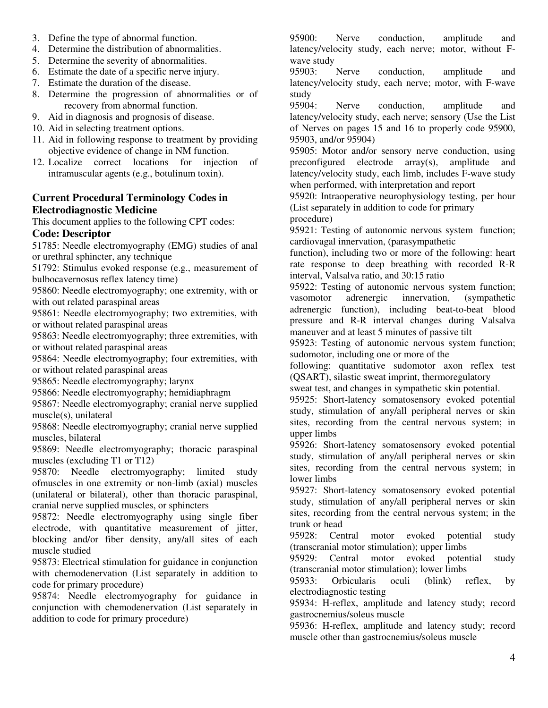- 3. Define the type of abnormal function.
- 4. Determine the distribution of abnormalities.
- 5. Determine the severity of abnormalities.
- 6. Estimate the date of a specific nerve injury.
- 7. Estimate the duration of the disease.
- 8. Determine the progression of abnormalities or of recovery from abnormal function.
- 9. Aid in diagnosis and prognosis of disease.
- 10. Aid in selecting treatment options.
- 11. Aid in following response to treatment by providing objective evidence of change in NM function.
- 12. Localize correct locations for injection of intramuscular agents (e.g., botulinum toxin).

#### **Current Procedural Terminology Codes in Electrodiagnostic Medicine**

This document applies to the following CPT codes:

#### **Code: Descriptor**

51785: Needle electromyography (EMG) studies of anal or urethral sphincter, any technique

51792: Stimulus evoked response (e.g., measurement of bulbocavernosus reflex latency time)

95860: Needle electromyography; one extremity, with or with out related paraspinal areas

95861: Needle electromyography; two extremities, with or without related paraspinal areas

95863: Needle electromyography; three extremities, with or without related paraspinal areas

95864: Needle electromyography; four extremities, with or without related paraspinal areas

95865: Needle electromyography; larynx

95866: Needle electromyography; hemidiaphragm

95867: Needle electromyography; cranial nerve supplied muscle(s), unilateral

95868: Needle electromyography; cranial nerve supplied muscles, bilateral

95869: Needle electromyography; thoracic paraspinal muscles (excluding T1 or T12)

95870: Needle electromyography; limited study ofmuscles in one extremity or non-limb (axial) muscles (unilateral or bilateral), other than thoracic paraspinal, cranial nerve supplied muscles, or sphincters

95872: Needle electromyography using single fiber electrode, with quantitative measurement of jitter, blocking and/or fiber density, any/all sites of each muscle studied

95873: Electrical stimulation for guidance in conjunction with chemodenervation (List separately in addition to code for primary procedure)

95874: Needle electromyography for guidance in conjunction with chemodenervation (List separately in addition to code for primary procedure)

95900: Nerve conduction, amplitude and latency/velocity study, each nerve; motor, without Fwave study

95903: Nerve conduction, amplitude and latency/velocity study, each nerve; motor, with F-wave study

95904: Nerve conduction, amplitude and latency/velocity study, each nerve; sensory (Use the List of Nerves on pages 15 and 16 to properly code 95900, 95903, and/or 95904)

95905: Motor and/or sensory nerve conduction, using preconfigured electrode array(s), amplitude and latency/velocity study, each limb, includes F-wave study when performed, with interpretation and report

95920: Intraoperative neurophysiology testing, per hour (List separately in addition to code for primary

procedure)

95921: Testing of autonomic nervous system function; cardiovagal innervation, (parasympathetic

function), including two or more of the following: heart rate response to deep breathing with recorded R-R interval, Valsalva ratio, and 30:15 ratio

95922: Testing of autonomic nervous system function; vasomotor adrenergic innervation, (sympathetic adrenergic function), including beat-to-beat blood pressure and R-R interval changes during Valsalva maneuver and at least 5 minutes of passive tilt

95923: Testing of autonomic nervous system function; sudomotor, including one or more of the

following: quantitative sudomotor axon reflex test (QSART), silastic sweat imprint, thermoregulatory

sweat test, and changes in sympathetic skin potential.

95925: Short-latency somatosensory evoked potential study, stimulation of any/all peripheral nerves or skin sites, recording from the central nervous system; in upper limbs

95926: Short-latency somatosensory evoked potential study, stimulation of any/all peripheral nerves or skin sites, recording from the central nervous system; in lower limbs

95927: Short-latency somatosensory evoked potential study, stimulation of any/all peripheral nerves or skin sites, recording from the central nervous system; in the trunk or head

95928: Central motor evoked potential study (transcranial motor stimulation); upper limbs

95929: Central motor evoked potential study (transcranial motor stimulation); lower limbs

95933: Orbicularis oculi (blink) reflex, by electrodiagnostic testing

95934: H-reflex, amplitude and latency study; record gastrocnemius/soleus muscle

95936: H-reflex, amplitude and latency study; record muscle other than gastrocnemius/soleus muscle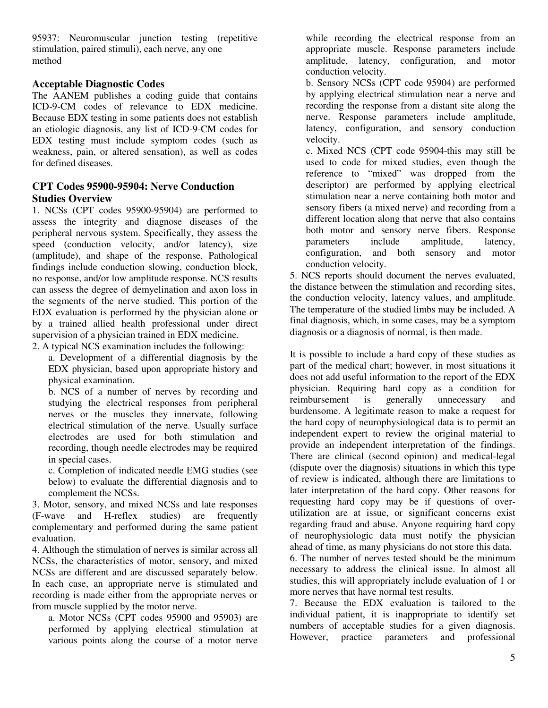95937: Neuromuscular junction testing (repetitive stimulation, paired stimuli), each nerve, any one method

#### **Acceptable Diagnostic Codes**

The AANEM publishes a coding guide that contains ICD-9-CM codes of relevance to EDX medicine. Because EDX testing in some patients does not establish an etiologic diagnosis, any list of ICD-9-CM codes for EDX testing must include symptom codes (such as weakness, pain, or altered sensation), as well as codes for defined diseases.

#### **CPT Codes 95900-95904: Nerve Conduction Studies Overview**

1. NCSs (CPT codes 95900-95904) are performed to assess the integrity and diagnose diseases of the peripheral nervous system. Specifically, they assess the speed (conduction velocity, and/or latency), size (amplitude), and shape of the response. Pathological findings include conduction slowing, conduction block, no response, and/or low amplitude response. NCS results can assess the degree of demyelination and axon loss in the segments of the nerve studied. This portion of the EDX evaluation is performed by the physician alone or by a trained allied health professional under direct supervision of a physician trained in EDX medicine.

2. A typical NCS examination includes the following:

a. Development of a differential diagnosis by the EDX physician, based upon appropriate history and physical examination.

b. NCS of a number of nerves by recording and studying the electrical responses from peripheral nerves or the muscles they innervate, following electrical stimulation of the nerve. Usually surface electrodes are used for both stimulation and recording, though needle electrodes may be required in special cases.

c. Completion of indicated needle EMG studies (see below) to evaluate the differential diagnosis and to complement the NCSs.

3. Motor, sensory, and mixed NCSs and late responses (F-wave and H-reflex studies) are frequently complementary and performed during the same patient evaluation.

4. Although the stimulation of nerves is similar across all NCSs, the characteristics of motor, sensory, and mixed NCSs are different and are discussed separately below. In each case, an appropriate nerve is stimulated and recording is made either from the appropriate nerves or from muscle supplied by the motor nerve.

a. Motor NCSs (CPT codes 95900 and 95903) are performed by applying electrical stimulation at various points along the course of a motor nerve while recording the electrical response from an appropriate muscle. Response parameters include amplitude, latency, configuration, and motor conduction velocity.

b. Sensory NCSs (CPT code 95904) are performed by applying electrical stimulation near a nerve and recording the response from a distant site along the nerve. Response parameters include amplitude, latency, configuration, and sensory conduction velocity.

c. Mixed NCS (CPT code 95904-this may still be used to code for mixed studies, even though the reference to "mixed" was dropped from the descriptor) are performed by applying electrical stimulation near a nerve containing both motor and sensory fibers (a mixed nerve) and recording from a different location along that nerve that also contains both motor and sensory nerve fibers. Response parameters include amplitude, latency, configuration, and both sensory and motor conduction velocity.

5. NCS reports should document the nerves evaluated, the distance between the stimulation and recording sites, the conduction velocity, latency values, and amplitude. The temperature of the studied limbs may be included. A final diagnosis, which, in some cases, may be a symptom diagnosis or a diagnosis of normal, is then made.

It is possible to include a hard copy of these studies as part of the medical chart; however, in most situations it does not add useful information to the report of the EDX physician. Requiring hard copy as a condition for reimbursement is generally unnecessary and burdensome. A legitimate reason to make a request for the hard copy of neurophysiological data is to permit an independent expert to review the original material to provide an independent interpretation of the findings. There are clinical (second opinion) and medical-legal (dispute over the diagnosis) situations in which this type of review is indicated, although there are limitations to later interpretation of the hard copy. Other reasons for requesting hard copy may be if questions of overutilization are at issue, or significant concerns exist regarding fraud and abuse. Anyone requiring hard copy of neurophysiologic data must notify the physician ahead of time, as many physicians do not store this data. 6. The number of nerves tested should be the minimum

necessary to address the clinical issue. In almost all studies, this will appropriately include evaluation of 1 or more nerves that have normal test results.

7. Because the EDX evaluation is tailored to the individual patient, it is inappropriate to identify set numbers of acceptable studies for a given diagnosis. However, practice parameters and professional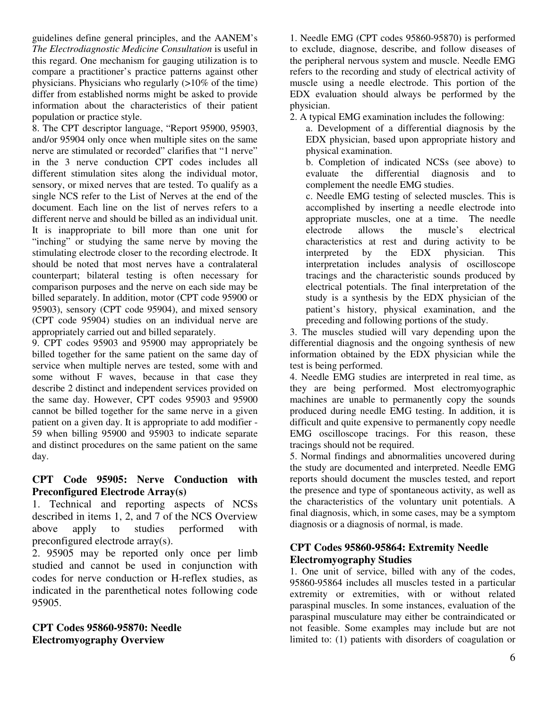guidelines define general principles, and the AANEM's *The Electrodiagnostic Medicine Consultation* is useful in this regard. One mechanism for gauging utilization is to compare a practitioner's practice patterns against other physicians. Physicians who regularly (>10% of the time) differ from established norms might be asked to provide information about the characteristics of their patient population or practice style.

8. The CPT descriptor language, "Report 95900, 95903, and/or 95904 only once when multiple sites on the same nerve are stimulated or recorded" clarifies that "1 nerve" in the 3 nerve conduction CPT codes includes all different stimulation sites along the individual motor, sensory, or mixed nerves that are tested. To qualify as a single NCS refer to the List of Nerves at the end of the document. Each line on the list of nerves refers to a different nerve and should be billed as an individual unit. It is inappropriate to bill more than one unit for "inching" or studying the same nerve by moving the stimulating electrode closer to the recording electrode. It should be noted that most nerves have a contralateral counterpart; bilateral testing is often necessary for comparison purposes and the nerve on each side may be billed separately. In addition, motor (CPT code 95900 or 95903), sensory (CPT code 95904), and mixed sensory (CPT code 95904) studies on an individual nerve are appropriately carried out and billed separately.

9. CPT codes 95903 and 95900 may appropriately be billed together for the same patient on the same day of service when multiple nerves are tested, some with and some without F waves, because in that case they describe 2 distinct and independent services provided on the same day. However, CPT codes 95903 and 95900 cannot be billed together for the same nerve in a given patient on a given day. It is appropriate to add modifier - 59 when billing 95900 and 95903 to indicate separate and distinct procedures on the same patient on the same day.

#### **CPT Code 95905: Nerve Conduction with Preconfigured Electrode Array(s)**

1. Technical and reporting aspects of NCSs described in items 1, 2, and 7 of the NCS Overview above apply to studies performed with preconfigured electrode array(s).

2. 95905 may be reported only once per limb studied and cannot be used in conjunction with codes for nerve conduction or H-reflex studies, as indicated in the parenthetical notes following code 95905.

#### **CPT Codes 95860-95870: Needle Electromyography Overview**

1. Needle EMG (CPT codes 95860-95870) is performed to exclude, diagnose, describe, and follow diseases of the peripheral nervous system and muscle. Needle EMG refers to the recording and study of electrical activity of muscle using a needle electrode. This portion of the EDX evaluation should always be performed by the physician.

2. A typical EMG examination includes the following:

a. Development of a differential diagnosis by the EDX physician, based upon appropriate history and physical examination.

b. Completion of indicated NCSs (see above) to evaluate the differential diagnosis and to complement the needle EMG studies.

c. Needle EMG testing of selected muscles. This is accomplished by inserting a needle electrode into appropriate muscles, one at a time. The needle electrode allows the muscle's electrical characteristics at rest and during activity to be interpreted by the EDX physician. This interpretation includes analysis of oscilloscope tracings and the characteristic sounds produced by electrical potentials. The final interpretation of the study is a synthesis by the EDX physician of the patient's history, physical examination, and the preceding and following portions of the study.

3. The muscles studied will vary depending upon the differential diagnosis and the ongoing synthesis of new information obtained by the EDX physician while the test is being performed.

4. Needle EMG studies are interpreted in real time, as they are being performed. Most electromyographic machines are unable to permanently copy the sounds produced during needle EMG testing. In addition, it is difficult and quite expensive to permanently copy needle EMG oscilloscope tracings. For this reason, these tracings should not be required.

5. Normal findings and abnormalities uncovered during the study are documented and interpreted. Needle EMG reports should document the muscles tested, and report the presence and type of spontaneous activity, as well as the characteristics of the voluntary unit potentials. A final diagnosis, which, in some cases, may be a symptom diagnosis or a diagnosis of normal, is made.

#### **CPT Codes 95860-95864: Extremity Needle Electromyography Studies**

1. One unit of service, billed with any of the codes, 95860-95864 includes all muscles tested in a particular extremity or extremities, with or without related paraspinal muscles. In some instances, evaluation of the paraspinal musculature may either be contraindicated or not feasible. Some examples may include but are not limited to: (1) patients with disorders of coagulation or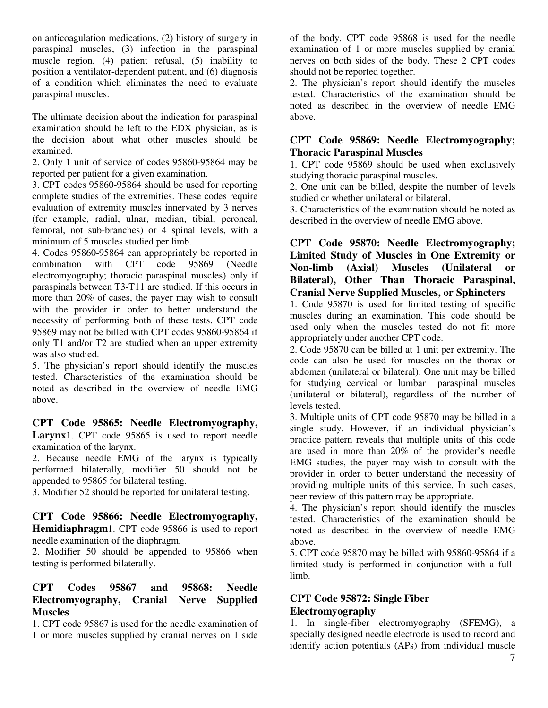on anticoagulation medications, (2) history of surgery in paraspinal muscles, (3) infection in the paraspinal muscle region, (4) patient refusal, (5) inability to position a ventilator-dependent patient, and (6) diagnosis of a condition which eliminates the need to evaluate paraspinal muscles.

The ultimate decision about the indication for paraspinal examination should be left to the EDX physician, as is the decision about what other muscles should be examined.

2. Only 1 unit of service of codes 95860-95864 may be reported per patient for a given examination.

3. CPT codes 95860-95864 should be used for reporting complete studies of the extremities. These codes require evaluation of extremity muscles innervated by 3 nerves (for example, radial, ulnar, median, tibial, peroneal, femoral, not sub-branches) or 4 spinal levels, with a minimum of 5 muscles studied per limb.

4. Codes 95860-95864 can appropriately be reported in combination with CPT code 95869 (Needle combination with CPT code 95869 (Needle electromyography; thoracic paraspinal muscles) only if paraspinals between T3-T11 are studied. If this occurs in more than 20% of cases, the payer may wish to consult with the provider in order to better understand the necessity of performing both of these tests. CPT code 95869 may not be billed with CPT codes 95860-95864 if only T1 and/or T2 are studied when an upper extremity was also studied.

5. The physician's report should identify the muscles tested. Characteristics of the examination should be noted as described in the overview of needle EMG above.

**CPT Code 95865: Needle Electromyography,**  Larynx1. CPT code 95865 is used to report needle examination of the larynx.

2. Because needle EMG of the larynx is typically performed bilaterally, modifier 50 should not be appended to 95865 for bilateral testing.

3. Modifier 52 should be reported for unilateral testing.

#### **CPT Code 95866: Needle Electromyography, Hemidiaphragm**1. CPT code 95866 is used to report needle examination of the diaphragm.

2. Modifier 50 should be appended to 95866 when testing is performed bilaterally.

#### **CPT Codes 95867 and 95868: Needle Electromyography, Cranial Nerve Supplied Muscles**

1. CPT code 95867 is used for the needle examination of 1 or more muscles supplied by cranial nerves on 1 side

of the body. CPT code 95868 is used for the needle examination of 1 or more muscles supplied by cranial nerves on both sides of the body. These 2 CPT codes should not be reported together.

2. The physician's report should identify the muscles tested. Characteristics of the examination should be noted as described in the overview of needle EMG above.

#### **CPT Code 95869: Needle Electromyography; Thoracic Paraspinal Muscles**

1. CPT code 95869 should be used when exclusively studying thoracic paraspinal muscles.

2. One unit can be billed, despite the number of levels studied or whether unilateral or bilateral.

3. Characteristics of the examination should be noted as described in the overview of needle EMG above.

#### **CPT Code 95870: Needle Electromyography; Limited Study of Muscles in One Extremity or Non-limb (Axial) Muscles (Unilateral or Bilateral), Other Than Thoracic Paraspinal, Cranial Nerve Supplied Muscles, or Sphincters**

1. Code 95870 is used for limited testing of specific muscles during an examination. This code should be used only when the muscles tested do not fit more appropriately under another CPT code.

2. Code 95870 can be billed at 1 unit per extremity. The code can also be used for muscles on the thorax or abdomen (unilateral or bilateral). One unit may be billed for studying cervical or lumbar paraspinal muscles (unilateral or bilateral), regardless of the number of levels tested.

3. Multiple units of CPT code 95870 may be billed in a single study. However, if an individual physician's practice pattern reveals that multiple units of this code are used in more than 20% of the provider's needle EMG studies, the payer may wish to consult with the provider in order to better understand the necessity of providing multiple units of this service. In such cases, peer review of this pattern may be appropriate.

4. The physician's report should identify the muscles tested. Characteristics of the examination should be noted as described in the overview of needle EMG above.

5. CPT code 95870 may be billed with 95860-95864 if a limited study is performed in conjunction with a fulllimb.

## **CPT Code 95872: Single Fiber Electromyography**

1. In single-fiber electromyography (SFEMG), a specially designed needle electrode is used to record and identify action potentials (APs) from individual muscle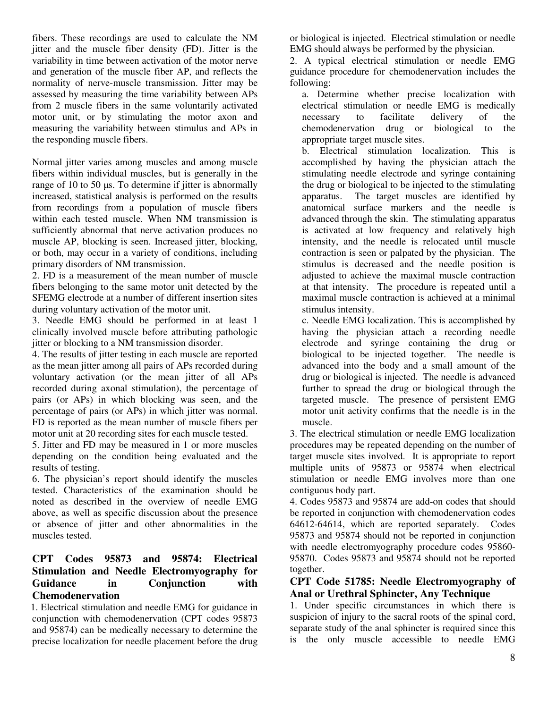fibers. These recordings are used to calculate the NM jitter and the muscle fiber density (FD). Jitter is the variability in time between activation of the motor nerve and generation of the muscle fiber AP, and reflects the normality of nerve-muscle transmission. Jitter may be assessed by measuring the time variability between APs from 2 muscle fibers in the same voluntarily activated motor unit, or by stimulating the motor axon and measuring the variability between stimulus and APs in the responding muscle fibers.

Normal jitter varies among muscles and among muscle fibers within individual muscles, but is generally in the range of 10 to 50 us. To determine if jitter is abnormally increased, statistical analysis is performed on the results from recordings from a population of muscle fibers within each tested muscle. When NM transmission is sufficiently abnormal that nerve activation produces no muscle AP, blocking is seen. Increased jitter, blocking, or both, may occur in a variety of conditions, including primary disorders of NM transmission.

2. FD is a measurement of the mean number of muscle fibers belonging to the same motor unit detected by the SFEMG electrode at a number of different insertion sites during voluntary activation of the motor unit.

3. Needle EMG should be performed in at least 1 clinically involved muscle before attributing pathologic jitter or blocking to a NM transmission disorder.

4. The results of jitter testing in each muscle are reported as the mean jitter among all pairs of APs recorded during voluntary activation (or the mean jitter of all APs recorded during axonal stimulation), the percentage of pairs (or APs) in which blocking was seen, and the percentage of pairs (or APs) in which jitter was normal. FD is reported as the mean number of muscle fibers per motor unit at 20 recording sites for each muscle tested.

5. Jitter and FD may be measured in 1 or more muscles depending on the condition being evaluated and the results of testing.

6. The physician's report should identify the muscles tested. Characteristics of the examination should be noted as described in the overview of needle EMG above, as well as specific discussion about the presence or absence of jitter and other abnormalities in the muscles tested.

#### **CPT Codes 95873 and 95874: Electrical Stimulation and Needle Electromyography for Guidance in Conjunction with Chemodenervation**

1. Electrical stimulation and needle EMG for guidance in conjunction with chemodenervation (CPT codes 95873 and 95874) can be medically necessary to determine the precise localization for needle placement before the drug

or biological is injected. Electrical stimulation or needle EMG should always be performed by the physician.

2. A typical electrical stimulation or needle EMG guidance procedure for chemodenervation includes the following:

a. Determine whether precise localization with electrical stimulation or needle EMG is medically necessary to facilitate delivery of the chemodenervation drug or biological to the appropriate target muscle sites.

b. Electrical stimulation localization. This is accomplished by having the physician attach the stimulating needle electrode and syringe containing the drug or biological to be injected to the stimulating apparatus. The target muscles are identified by anatomical surface markers and the needle is advanced through the skin. The stimulating apparatus is activated at low frequency and relatively high intensity, and the needle is relocated until muscle contraction is seen or palpated by the physician. The stimulus is decreased and the needle position is adjusted to achieve the maximal muscle contraction at that intensity. The procedure is repeated until a maximal muscle contraction is achieved at a minimal stimulus intensity.

c. Needle EMG localization. This is accomplished by having the physician attach a recording needle electrode and syringe containing the drug or biological to be injected together. The needle is advanced into the body and a small amount of the drug or biological is injected. The needle is advanced further to spread the drug or biological through the targeted muscle. The presence of persistent EMG motor unit activity confirms that the needle is in the muscle.

3. The electrical stimulation or needle EMG localization procedures may be repeated depending on the number of target muscle sites involved. It is appropriate to report multiple units of 95873 or 95874 when electrical stimulation or needle EMG involves more than one contiguous body part.

4. Codes 95873 and 95874 are add-on codes that should be reported in conjunction with chemodenervation codes 64612-64614, which are reported separately. Codes 95873 and 95874 should not be reported in conjunction with needle electromyography procedure codes 95860- 95870. Codes 95873 and 95874 should not be reported together.

#### **CPT Code 51785: Needle Electromyography of Anal or Urethral Sphincter, Any Technique**

1. Under specific circumstances in which there is suspicion of injury to the sacral roots of the spinal cord, separate study of the anal sphincter is required since this is the only muscle accessible to needle EMG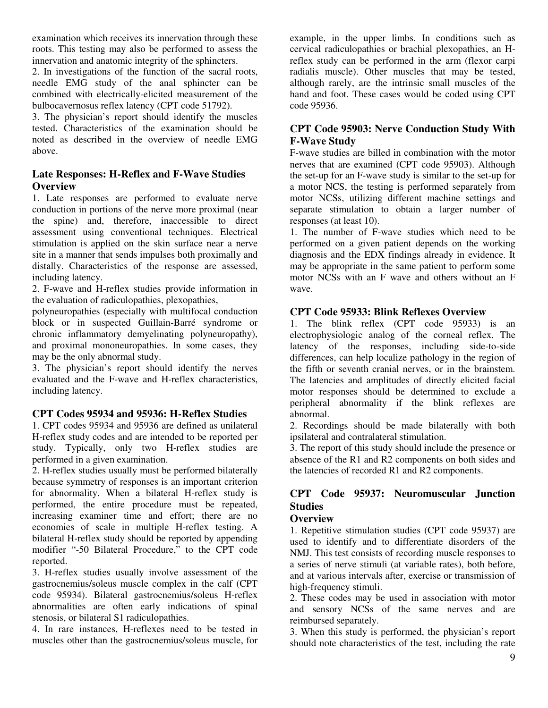examination which receives its innervation through these roots. This testing may also be performed to assess the innervation and anatomic integrity of the sphincters.

2. In investigations of the function of the sacral roots, needle EMG study of the anal sphincter can be combined with electrically-elicited measurement of the bulbocavernosus reflex latency (CPT code 51792).

3. The physician's report should identify the muscles tested. Characteristics of the examination should be noted as described in the overview of needle EMG above.

#### **Late Responses: H-Reflex and F-Wave Studies Overview**

1. Late responses are performed to evaluate nerve conduction in portions of the nerve more proximal (near the spine) and, therefore, inaccessible to direct assessment using conventional techniques. Electrical stimulation is applied on the skin surface near a nerve site in a manner that sends impulses both proximally and distally. Characteristics of the response are assessed, including latency.

2. F-wave and H-reflex studies provide information in the evaluation of radiculopathies, plexopathies,

polyneuropathies (especially with multifocal conduction block or in suspected Guillain-Barré syndrome or chronic inflammatory demyelinating polyneuropathy), and proximal mononeuropathies. In some cases, they may be the only abnormal study.

3. The physician's report should identify the nerves evaluated and the F-wave and H-reflex characteristics, including latency.

#### **CPT Codes 95934 and 95936: H-Reflex Studies**

1. CPT codes 95934 and 95936 are defined as unilateral H-reflex study codes and are intended to be reported per study. Typically, only two H-reflex studies are performed in a given examination.

2. H-reflex studies usually must be performed bilaterally because symmetry of responses is an important criterion for abnormality. When a bilateral H-reflex study is performed, the entire procedure must be repeated, increasing examiner time and effort; there are no economies of scale in multiple H-reflex testing. A bilateral H-reflex study should be reported by appending modifier "-50 Bilateral Procedure," to the CPT code reported.

3. H-reflex studies usually involve assessment of the gastrocnemius/soleus muscle complex in the calf (CPT code 95934). Bilateral gastrocnemius/soleus H-reflex abnormalities are often early indications of spinal stenosis, or bilateral S1 radiculopathies.

4. In rare instances, H-reflexes need to be tested in muscles other than the gastrocnemius/soleus muscle, for

example, in the upper limbs. In conditions such as cervical radiculopathies or brachial plexopathies, an Hreflex study can be performed in the arm (flexor carpi radialis muscle). Other muscles that may be tested, although rarely, are the intrinsic small muscles of the hand and foot. These cases would be coded using CPT code 95936.

#### **CPT Code 95903: Nerve Conduction Study With F-Wave Study**

F-wave studies are billed in combination with the motor nerves that are examined (CPT code 95903). Although the set-up for an F-wave study is similar to the set-up for a motor NCS, the testing is performed separately from motor NCSs, utilizing different machine settings and separate stimulation to obtain a larger number of responses (at least 10).

1. The number of F-wave studies which need to be performed on a given patient depends on the working diagnosis and the EDX findings already in evidence. It may be appropriate in the same patient to perform some motor NCSs with an F wave and others without an F wave.

#### **CPT Code 95933: Blink Reflexes Overview**

1. The blink reflex (CPT code 95933) is an electrophysiologic analog of the corneal reflex. The latency of the responses, including side-to-side differences, can help localize pathology in the region of the fifth or seventh cranial nerves, or in the brainstem. The latencies and amplitudes of directly elicited facial motor responses should be determined to exclude a peripheral abnormality if the blink reflexes are abnormal.

2. Recordings should be made bilaterally with both ipsilateral and contralateral stimulation.

3. The report of this study should include the presence or absence of the R1 and R2 components on both sides and the latencies of recorded R1 and R2 components.

# **CPT Code 95937: Neuromuscular Junction Studies**

#### **Overview**

1. Repetitive stimulation studies (CPT code 95937) are used to identify and to differentiate disorders of the NMJ. This test consists of recording muscle responses to a series of nerve stimuli (at variable rates), both before, and at various intervals after, exercise or transmission of high-frequency stimuli.

2. These codes may be used in association with motor and sensory NCSs of the same nerves and are reimbursed separately.

3. When this study is performed, the physician's report should note characteristics of the test, including the rate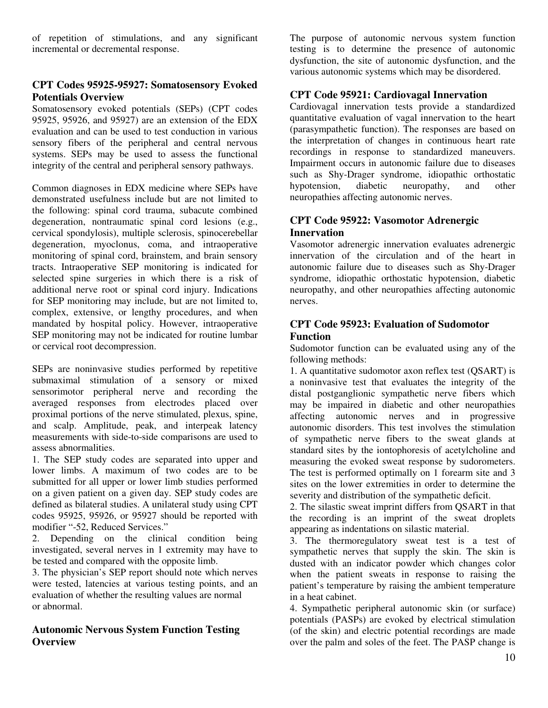of repetition of stimulations, and any significant incremental or decremental response.

#### **CPT Codes 95925-95927: Somatosensory Evoked Potentials Overview**

Somatosensory evoked potentials (SEPs) (CPT codes 95925, 95926, and 95927) are an extension of the EDX evaluation and can be used to test conduction in various sensory fibers of the peripheral and central nervous systems. SEPs may be used to assess the functional integrity of the central and peripheral sensory pathways.

Common diagnoses in EDX medicine where SEPs have demonstrated usefulness include but are not limited to the following: spinal cord trauma, subacute combined degeneration, nontraumatic spinal cord lesions (e.g., cervical spondylosis), multiple sclerosis, spinocerebellar degeneration, myoclonus, coma, and intraoperative monitoring of spinal cord, brainstem, and brain sensory tracts. Intraoperative SEP monitoring is indicated for selected spine surgeries in which there is a risk of additional nerve root or spinal cord injury. Indications for SEP monitoring may include, but are not limited to, complex, extensive, or lengthy procedures, and when mandated by hospital policy. However, intraoperative SEP monitoring may not be indicated for routine lumbar or cervical root decompression.

SEPs are noninvasive studies performed by repetitive submaximal stimulation of a sensory or mixed sensorimotor peripheral nerve and recording the averaged responses from electrodes placed over proximal portions of the nerve stimulated, plexus, spine, and scalp. Amplitude, peak, and interpeak latency measurements with side-to-side comparisons are used to assess abnormalities.

1. The SEP study codes are separated into upper and lower limbs. A maximum of two codes are to be submitted for all upper or lower limb studies performed on a given patient on a given day. SEP study codes are defined as bilateral studies. A unilateral study using CPT codes 95925, 95926, or 95927 should be reported with modifier "-52, Reduced Services."

2. Depending on the clinical condition being investigated, several nerves in 1 extremity may have to be tested and compared with the opposite limb.

3. The physician's SEP report should note which nerves were tested, latencies at various testing points, and an evaluation of whether the resulting values are normal or abnormal.

#### **Autonomic Nervous System Function Testing Overview**

The purpose of autonomic nervous system function testing is to determine the presence of autonomic dysfunction, the site of autonomic dysfunction, and the various autonomic systems which may be disordered.

#### **CPT Code 95921: Cardiovagal Innervation**

Cardiovagal innervation tests provide a standardized quantitative evaluation of vagal innervation to the heart (parasympathetic function). The responses are based on the interpretation of changes in continuous heart rate recordings in response to standardized maneuvers. Impairment occurs in autonomic failure due to diseases such as Shy-Drager syndrome, idiopathic orthostatic hypotension, diabetic neuropathy, and other neuropathies affecting autonomic nerves.

#### **CPT Code 95922: Vasomotor Adrenergic Innervation**

Vasomotor adrenergic innervation evaluates adrenergic innervation of the circulation and of the heart in autonomic failure due to diseases such as Shy-Drager syndrome, idiopathic orthostatic hypotension, diabetic neuropathy, and other neuropathies affecting autonomic nerves.

#### **CPT Code 95923: Evaluation of Sudomotor Function**

Sudomotor function can be evaluated using any of the following methods:

1. A quantitative sudomotor axon reflex test (QSART) is a noninvasive test that evaluates the integrity of the distal postganglionic sympathetic nerve fibers which may be impaired in diabetic and other neuropathies affecting autonomic nerves and in progressive autonomic disorders. This test involves the stimulation of sympathetic nerve fibers to the sweat glands at standard sites by the iontophoresis of acetylcholine and measuring the evoked sweat response by sudorometers. The test is performed optimally on 1 forearm site and 3 sites on the lower extremities in order to determine the severity and distribution of the sympathetic deficit.

2. The silastic sweat imprint differs from QSART in that the recording is an imprint of the sweat droplets appearing as indentations on silastic material.

3. The thermoregulatory sweat test is a test of sympathetic nerves that supply the skin. The skin is dusted with an indicator powder which changes color when the patient sweats in response to raising the patient's temperature by raising the ambient temperature in a heat cabinet.

4. Sympathetic peripheral autonomic skin (or surface) potentials (PASPs) are evoked by electrical stimulation (of the skin) and electric potential recordings are made over the palm and soles of the feet. The PASP change is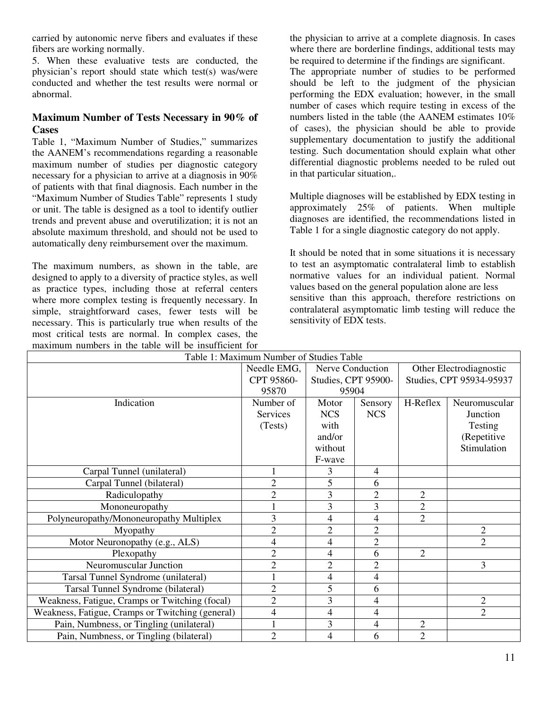carried by autonomic nerve fibers and evaluates if these fibers are working normally.

5. When these evaluative tests are conducted, the physician's report should state which test(s) was/were conducted and whether the test results were normal or abnormal.

#### **Maximum Number of Tests Necessary in 90% of Cases**

Table 1, "Maximum Number of Studies," summarizes the AANEM's recommendations regarding a reasonable maximum number of studies per diagnostic category necessary for a physician to arrive at a diagnosis in 90% of patients with that final diagnosis. Each number in the "Maximum Number of Studies Table" represents 1 study or unit. The table is designed as a tool to identify outlier trends and prevent abuse and overutilization; it is not an absolute maximum threshold, and should not be used to automatically deny reimbursement over the maximum.

The maximum numbers, as shown in the table, are designed to apply to a diversity of practice styles, as well as practice types, including those at referral centers where more complex testing is frequently necessary. In simple, straightforward cases, fewer tests will be necessary. This is particularly true when results of the most critical tests are normal. In complex cases, the maximum numbers in the table will be insufficient for

the physician to arrive at a complete diagnosis. In cases where there are borderline findings, additional tests may be required to determine if the findings are significant.

The appropriate number of studies to be performed should be left to the judgment of the physician performing the EDX evaluation; however, in the small number of cases which require testing in excess of the numbers listed in the table (the AANEM estimates 10% of cases), the physician should be able to provide supplementary documentation to justify the additional testing. Such documentation should explain what other differential diagnostic problems needed to be ruled out in that particular situation,.

Multiple diagnoses will be established by EDX testing in approximately 25% of patients. When multiple diagnoses are identified, the recommendations listed in Table 1 for a single diagnostic category do not apply.

It should be noted that in some situations it is necessary to test an asymptomatic contralateral limb to establish normative values for an individual patient. Normal values based on the general population alone are less sensitive than this approach, therefore restrictions on contralateral asymptomatic limb testing will reduce the sensitivity of EDX tests.

| maximum numbers in the table will be msurficient for |                 |                     |                |                          |                |
|------------------------------------------------------|-----------------|---------------------|----------------|--------------------------|----------------|
| Table 1: Maximum Number of Studies Table             |                 |                     |                |                          |                |
|                                                      | Needle EMG,     | Nerve Conduction    |                | Other Electrodiagnostic  |                |
|                                                      | CPT 95860-      | Studies, CPT 95900- |                | Studies, CPT 95934-95937 |                |
|                                                      | 95870           | 95904               |                |                          |                |
| Indication                                           | Number of       | Motor               | Sensory        | H-Reflex                 | Neuromuscular  |
|                                                      | <b>Services</b> | <b>NCS</b>          | <b>NCS</b>     |                          | Junction       |
|                                                      | (Tests)         | with                |                |                          | Testing        |
|                                                      |                 | and/or              |                |                          | (Repetitive    |
|                                                      |                 | without             |                |                          | Stimulation    |
|                                                      |                 | F-wave              |                |                          |                |
| Carpal Tunnel (unilateral)                           |                 | 3                   | $\overline{4}$ |                          |                |
| Carpal Tunnel (bilateral)                            | 2               | 5                   | 6              |                          |                |
| Radiculopathy                                        | $\overline{2}$  | $\overline{3}$      | $\overline{2}$ | $\overline{2}$           |                |
| Mononeuropathy                                       |                 | 3                   | 3              | $\overline{2}$           |                |
| Polyneuropathy/Mononeuropathy Multiplex              | 3               | $\overline{4}$      | $\overline{4}$ | $\overline{2}$           |                |
| Myopathy                                             | 2               | 2                   | $\overline{2}$ |                          | $\overline{2}$ |
| Motor Neuronopathy (e.g., ALS)                       | 4               | 4                   | $\overline{2}$ |                          | $\overline{2}$ |
| Plexopathy                                           | $\overline{2}$  | 4                   | 6              | $\overline{2}$           |                |
| Neuromuscular Junction                               | 2               | $\overline{c}$      | 2              |                          | 3              |
| Tarsal Tunnel Syndrome (unilateral)                  |                 | 4                   | 4              |                          |                |
| Tarsal Tunnel Syndrome (bilateral)                   | 2               | 5                   | 6              |                          |                |
| Weakness, Fatigue, Cramps or Twitching (focal)       | 2               | 3                   | 4              |                          | $\overline{2}$ |
| Weakness, Fatigue, Cramps or Twitching (general)     | 4               | 4                   | 4              |                          | $\overline{2}$ |
| Pain, Numbness, or Tingling (unilateral)             |                 | 3                   | 4              | $\overline{c}$           |                |
| Pain, Numbness, or Tingling (bilateral)              | $\overline{2}$  | 4                   | 6              | $\overline{2}$           |                |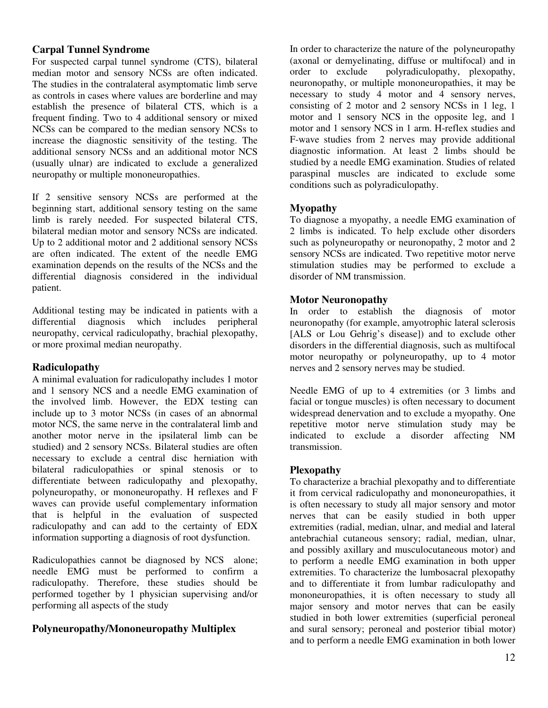#### **Carpal Tunnel Syndrome**

For suspected carpal tunnel syndrome (CTS), bilateral median motor and sensory NCSs are often indicated. The studies in the contralateral asymptomatic limb serve as controls in cases where values are borderline and may establish the presence of bilateral CTS, which is a frequent finding. Two to 4 additional sensory or mixed NCSs can be compared to the median sensory NCSs to increase the diagnostic sensitivity of the testing. The additional sensory NCSs and an additional motor NCS (usually ulnar) are indicated to exclude a generalized neuropathy or multiple mononeuropathies.

If 2 sensitive sensory NCSs are performed at the beginning start, additional sensory testing on the same limb is rarely needed. For suspected bilateral CTS, bilateral median motor and sensory NCSs are indicated. Up to 2 additional motor and 2 additional sensory NCSs are often indicated. The extent of the needle EMG examination depends on the results of the NCSs and the differential diagnosis considered in the individual patient.

Additional testing may be indicated in patients with a differential diagnosis which includes peripheral neuropathy, cervical radiculopathy, brachial plexopathy, or more proximal median neuropathy.

#### **Radiculopathy**

A minimal evaluation for radiculopathy includes 1 motor and 1 sensory NCS and a needle EMG examination of the involved limb. However, the EDX testing can include up to 3 motor NCSs (in cases of an abnormal motor NCS, the same nerve in the contralateral limb and another motor nerve in the ipsilateral limb can be studied) and 2 sensory NCSs. Bilateral studies are often necessary to exclude a central disc herniation with bilateral radiculopathies or spinal stenosis or to differentiate between radiculopathy and plexopathy, polyneuropathy, or mononeuropathy. H reflexes and F waves can provide useful complementary information that is helpful in the evaluation of suspected radiculopathy and can add to the certainty of EDX information supporting a diagnosis of root dysfunction.

Radiculopathies cannot be diagnosed by NCS alone; needle EMG must be performed to confirm a radiculopathy. Therefore, these studies should be performed together by 1 physician supervising and/or performing all aspects of the study

#### **Polyneuropathy/Mononeuropathy Multiplex**

In order to characterize the nature of the polyneuropathy (axonal or demyelinating, diffuse or multifocal) and in order to exclude polyradiculopathy, plexopathy, neuronopathy, or multiple mononeuropathies, it may be necessary to study 4 motor and 4 sensory nerves, consisting of 2 motor and 2 sensory NCSs in 1 leg, 1 motor and 1 sensory NCS in the opposite leg, and 1 motor and 1 sensory NCS in 1 arm. H-reflex studies and F-wave studies from 2 nerves may provide additional diagnostic information. At least 2 limbs should be studied by a needle EMG examination. Studies of related paraspinal muscles are indicated to exclude some conditions such as polyradiculopathy.

#### **Myopathy**

To diagnose a myopathy, a needle EMG examination of 2 limbs is indicated. To help exclude other disorders such as polyneuropathy or neuronopathy, 2 motor and 2 sensory NCSs are indicated. Two repetitive motor nerve stimulation studies may be performed to exclude a disorder of NM transmission.

#### **Motor Neuronopathy**

In order to establish the diagnosis of motor neuronopathy (for example, amyotrophic lateral sclerosis [ALS or Lou Gehrig's disease]) and to exclude other disorders in the differential diagnosis, such as multifocal motor neuropathy or polyneuropathy, up to 4 motor nerves and 2 sensory nerves may be studied.

Needle EMG of up to 4 extremities (or 3 limbs and facial or tongue muscles) is often necessary to document widespread denervation and to exclude a myopathy. One repetitive motor nerve stimulation study may be indicated to exclude a disorder affecting NM transmission.

#### **Plexopathy**

To characterize a brachial plexopathy and to differentiate it from cervical radiculopathy and mononeuropathies, it is often necessary to study all major sensory and motor nerves that can be easily studied in both upper extremities (radial, median, ulnar, and medial and lateral antebrachial cutaneous sensory; radial, median, ulnar, and possibly axillary and musculocutaneous motor) and to perform a needle EMG examination in both upper extremities. To characterize the lumbosacral plexopathy and to differentiate it from lumbar radiculopathy and mononeuropathies, it is often necessary to study all major sensory and motor nerves that can be easily studied in both lower extremities (superficial peroneal and sural sensory; peroneal and posterior tibial motor) and to perform a needle EMG examination in both lower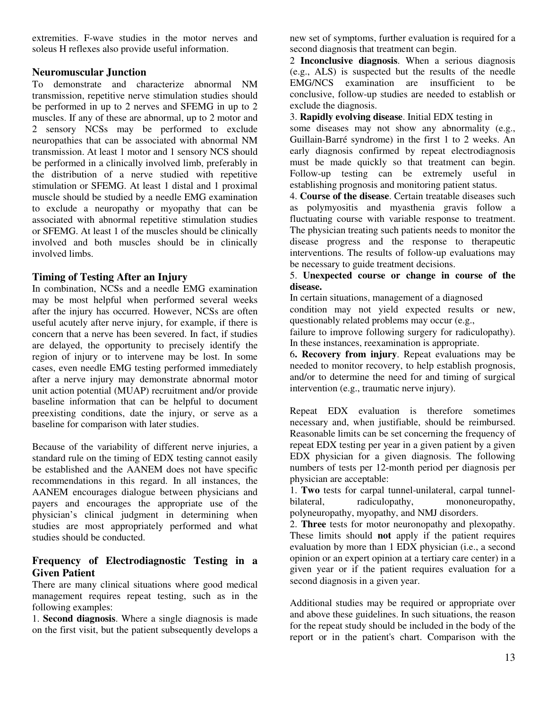extremities. F-wave studies in the motor nerves and soleus H reflexes also provide useful information.

#### **Neuromuscular Junction**

To demonstrate and characterize abnormal NM transmission, repetitive nerve stimulation studies should be performed in up to 2 nerves and SFEMG in up to 2 muscles. If any of these are abnormal, up to 2 motor and 2 sensory NCSs may be performed to exclude neuropathies that can be associated with abnormal NM transmission. At least 1 motor and 1 sensory NCS should be performed in a clinically involved limb, preferably in the distribution of a nerve studied with repetitive stimulation or SFEMG. At least 1 distal and 1 proximal muscle should be studied by a needle EMG examination to exclude a neuropathy or myopathy that can be associated with abnormal repetitive stimulation studies or SFEMG. At least 1 of the muscles should be clinically involved and both muscles should be in clinically involved limbs.

#### **Timing of Testing After an Injury**

In combination, NCSs and a needle EMG examination may be most helpful when performed several weeks after the injury has occurred. However, NCSs are often useful acutely after nerve injury, for example, if there is concern that a nerve has been severed. In fact, if studies are delayed, the opportunity to precisely identify the region of injury or to intervene may be lost. In some cases, even needle EMG testing performed immediately after a nerve injury may demonstrate abnormal motor unit action potential (MUAP) recruitment and/or provide baseline information that can be helpful to document preexisting conditions, date the injury, or serve as a baseline for comparison with later studies.

Because of the variability of different nerve injuries, a standard rule on the timing of EDX testing cannot easily be established and the AANEM does not have specific recommendations in this regard. In all instances, the AANEM encourages dialogue between physicians and payers and encourages the appropriate use of the physician's clinical judgment in determining when studies are most appropriately performed and what studies should be conducted.

#### **Frequency of Electrodiagnostic Testing in a Given Patient**

There are many clinical situations where good medical management requires repeat testing, such as in the following examples:

1. **Second diagnosis**. Where a single diagnosis is made on the first visit, but the patient subsequently develops a new set of symptoms, further evaluation is required for a second diagnosis that treatment can begin.

2 **Inconclusive diagnosis**. When a serious diagnosis (e.g., ALS) is suspected but the results of the needle EMG/NCS examination are insufficient to be conclusive, follow-up studies are needed to establish or exclude the diagnosis.

3. **Rapidly evolving disease**. Initial EDX testing in

some diseases may not show any abnormality (e.g., Guillain-Barré syndrome) in the first 1 to 2 weeks. An early diagnosis confirmed by repeat electrodiagnosis must be made quickly so that treatment can begin. Follow-up testing can be extremely useful in establishing prognosis and monitoring patient status.

4. **Course of the disease**. Certain treatable diseases such as polymyositis and myasthenia gravis follow a fluctuating course with variable response to treatment. The physician treating such patients needs to monitor the disease progress and the response to therapeutic interventions. The results of follow-up evaluations may be necessary to guide treatment decisions.

5. **Unexpected course or change in course of the disease.** 

In certain situations, management of a diagnosed

condition may not yield expected results or new, questionably related problems may occur (e.g.,

failure to improve following surgery for radiculopathy). In these instances, reexamination is appropriate.

6**. Recovery from injury**. Repeat evaluations may be needed to monitor recovery, to help establish prognosis, and/or to determine the need for and timing of surgical intervention (e.g., traumatic nerve injury).

Repeat EDX evaluation is therefore sometimes necessary and, when justifiable, should be reimbursed. Reasonable limits can be set concerning the frequency of repeat EDX testing per year in a given patient by a given EDX physician for a given diagnosis. The following numbers of tests per 12-month period per diagnosis per physician are acceptable:

1. **Two** tests for carpal tunnel-unilateral, carpal tunnelbilateral, radiculopathy, mononeuropathy, polyneuropathy, myopathy, and NMJ disorders.

2. **Three** tests for motor neuronopathy and plexopathy. These limits should **not** apply if the patient requires evaluation by more than 1 EDX physician (i.e., a second opinion or an expert opinion at a tertiary care center) in a given year or if the patient requires evaluation for a second diagnosis in a given year.

Additional studies may be required or appropriate over and above these guidelines. In such situations, the reason for the repeat study should be included in the body of the report or in the patient's chart. Comparison with the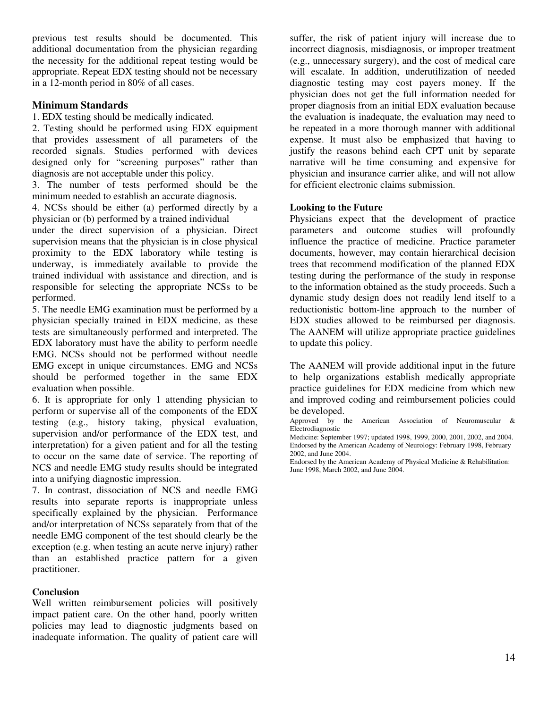previous test results should be documented. This additional documentation from the physician regarding the necessity for the additional repeat testing would be appropriate. Repeat EDX testing should not be necessary in a 12-month period in 80% of all cases.

#### **Minimum Standards**

1. EDX testing should be medically indicated.

2. Testing should be performed using EDX equipment that provides assessment of all parameters of the recorded signals. Studies performed with devices designed only for "screening purposes" rather than diagnosis are not acceptable under this policy.

3. The number of tests performed should be the minimum needed to establish an accurate diagnosis.

4. NCSs should be either (a) performed directly by a physician or (b) performed by a trained individual

under the direct supervision of a physician. Direct supervision means that the physician is in close physical proximity to the EDX laboratory while testing is underway, is immediately available to provide the trained individual with assistance and direction, and is responsible for selecting the appropriate NCSs to be performed.

5. The needle EMG examination must be performed by a physician specially trained in EDX medicine, as these tests are simultaneously performed and interpreted. The EDX laboratory must have the ability to perform needle EMG. NCSs should not be performed without needle EMG except in unique circumstances. EMG and NCSs should be performed together in the same EDX evaluation when possible.

6. It is appropriate for only 1 attending physician to perform or supervise all of the components of the EDX testing (e.g., history taking, physical evaluation, supervision and/or performance of the EDX test, and interpretation) for a given patient and for all the testing to occur on the same date of service. The reporting of NCS and needle EMG study results should be integrated into a unifying diagnostic impression.

7. In contrast, dissociation of NCS and needle EMG results into separate reports is inappropriate unless specifically explained by the physician. Performance and/or interpretation of NCSs separately from that of the needle EMG component of the test should clearly be the exception (e.g. when testing an acute nerve injury) rather than an established practice pattern for a given practitioner.

#### **Conclusion**

Well written reimbursement policies will positively impact patient care. On the other hand, poorly written policies may lead to diagnostic judgments based on inadequate information. The quality of patient care will

suffer, the risk of patient injury will increase due to incorrect diagnosis, misdiagnosis, or improper treatment (e.g., unnecessary surgery), and the cost of medical care will escalate. In addition, underutilization of needed diagnostic testing may cost payers money. If the physician does not get the full information needed for proper diagnosis from an initial EDX evaluation because the evaluation is inadequate, the evaluation may need to be repeated in a more thorough manner with additional expense. It must also be emphasized that having to justify the reasons behind each CPT unit by separate narrative will be time consuming and expensive for physician and insurance carrier alike, and will not allow for efficient electronic claims submission.

#### **Looking to the Future**

Physicians expect that the development of practice parameters and outcome studies will profoundly influence the practice of medicine. Practice parameter documents, however, may contain hierarchical decision trees that recommend modification of the planned EDX testing during the performance of the study in response to the information obtained as the study proceeds. Such a dynamic study design does not readily lend itself to a reductionistic bottom-line approach to the number of EDX studies allowed to be reimbursed per diagnosis. The AANEM will utilize appropriate practice guidelines to update this policy.

The AANEM will provide additional input in the future to help organizations establish medically appropriate practice guidelines for EDX medicine from which new and improved coding and reimbursement policies could be developed.

Approved by the American Association of Neuromuscular  $\&$ Electrodiagnostic

Medicine: September 1997; updated 1998, 1999, 2000, 2001, 2002, and 2004. Endorsed by the American Academy of Neurology: February 1998, February 2002, and June 2004.

Endorsed by the American Academy of Physical Medicine & Rehabilitation: June 1998, March 2002, and June 2004.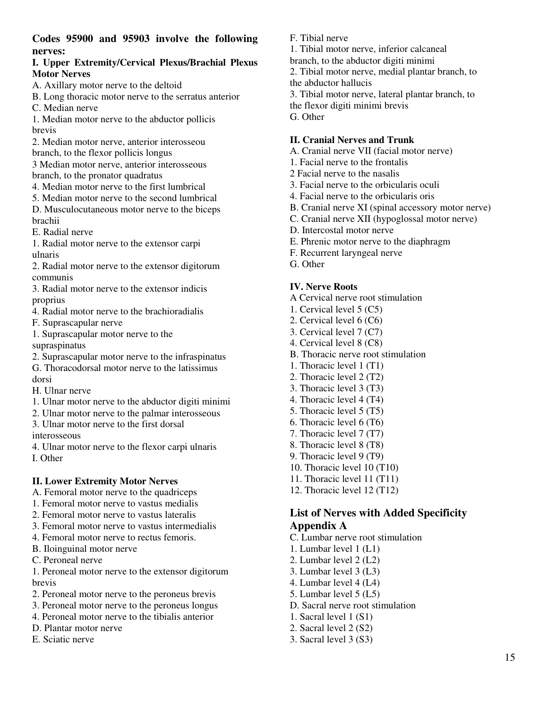**Codes 95900 and 95903 involve the following nerves:** 

#### **I. Upper Extremity/Cervical Plexus/Brachial Plexus Motor Nerves**

A. Axillary motor nerve to the deltoid

B. Long thoracic motor nerve to the serratus anterior

C. Median nerve

1. Median motor nerve to the abductor pollicis brevis

- 2. Median motor nerve, anterior interosseou
- branch, to the flexor pollicis longus

3 Median motor nerve, anterior interosseous branch, to the pronator quadratus

- 4. Median motor nerve to the first lumbrical
- 5. Median motor nerve to the second lumbrical

D. Musculocutaneous motor nerve to the biceps brachii

E. Radial nerve

1. Radial motor nerve to the extensor carpi ulnaris

2. Radial motor nerve to the extensor digitorum communis

3. Radial motor nerve to the extensor indicis proprius

- 4. Radial motor nerve to the brachioradialis
- F. Suprascapular nerve
- 1. Suprascapular motor nerve to the supraspinatus

2. Suprascapular motor nerve to the infraspinatus

G. Thoracodorsal motor nerve to the latissimus dorsi

- H. Ulnar nerve
- 1. Ulnar motor nerve to the abductor digiti minimi
- 2. Ulnar motor nerve to the palmar interosseous

3. Ulnar motor nerve to the first dorsal interosseous

4. Ulnar motor nerve to the flexor carpi ulnaris I. Other

#### **II. Lower Extremity Motor Nerves**

A. Femoral motor nerve to the quadriceps

- 1. Femoral motor nerve to vastus medialis
- 2. Femoral motor nerve to vastus lateralis
- 3. Femoral motor nerve to vastus intermedialis
- 4. Femoral motor nerve to rectus femoris.
- B. Iloinguinal motor nerve
- C. Peroneal nerve

1. Peroneal motor nerve to the extensor digitorum brevis

- 2. Peroneal motor nerve to the peroneus brevis
- 3. Peroneal motor nerve to the peroneus longus
- 4. Peroneal motor nerve to the tibialis anterior
- D. Plantar motor nerve
- E. Sciatic nerve
- F. Tibial nerve
- 1. Tibial motor nerve, inferior calcaneal
- branch, to the abductor digiti minimi

2. Tibial motor nerve, medial plantar branch, to the abductor hallucis

- 3. Tibial motor nerve, lateral plantar branch, to
- the flexor digiti minimi brevis
- G. Other

#### **II. Cranial Nerves and Trunk**

- A. Cranial nerve VII (facial motor nerve)
- 1. Facial nerve to the frontalis
- 2 Facial nerve to the nasalis
- 3. Facial nerve to the orbicularis oculi
- 4. Facial nerve to the orbicularis oris
- B. Cranial nerve XI (spinal accessory motor nerve)
- C. Cranial nerve XII (hypoglossal motor nerve)
- D. Intercostal motor nerve
- E. Phrenic motor nerve to the diaphragm
- F. Recurrent laryngeal nerve
- G. Other

## **IV. Nerve Roots**

- A Cervical nerve root stimulation
- 1. Cervical level 5 (C5)
- 2. Cervical level 6 (C6)
- 3. Cervical level 7 (C7)
- 4. Cervical level 8 (C8)
- B. Thoracic nerve root stimulation
- 1. Thoracic level 1 (T1)
- 2. Thoracic level 2 (T2)
- 3. Thoracic level 3 (T3)
- 4. Thoracic level 4 (T4)
- 5. Thoracic level 5 (T5)
- 6. Thoracic level 6 (T6)
- 7. Thoracic level 7 (T7)
- 8. Thoracic level 8 (T8)
- 9. Thoracic level 9 (T9)
- 10. Thoracic level 10 (T10)
- 11. Thoracic level 11 (T11)
- 12. Thoracic level 12 (T12)

# **List of Nerves with Added Specificity Appendix A**

- C. Lumbar nerve root stimulation
- 1. Lumbar level 1 (L1)
- 2. Lumbar level 2 (L2)
- 3. Lumbar level 3 (L3)
- 4. Lumbar level 4 (L4)
- 5. Lumbar level 5 (L5)
- D. Sacral nerve root stimulation
- 1. Sacral level 1 (S1)
- 2. Sacral level 2 (S2)
- 3. Sacral level 3 (S3)